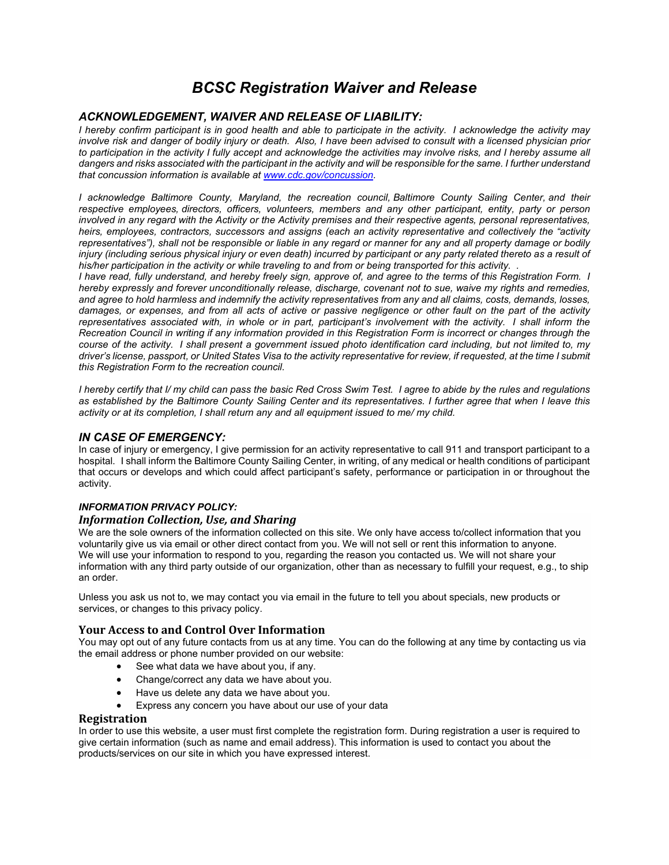# *BCSC Registration Waiver and Release*

### *ACKNOWLEDGEMENT, WAIVER AND RELEASE OF LIABILITY:*

*I hereby confirm participant is in good health and able to participate in the activity. I acknowledge the activity may involve risk and danger of bodily injury or death. Also, I have been advised to consult with a licensed physician prior to participation in the activity I fully accept and acknowledge the activities may involve risks, and I hereby assume all dangers and risks associated with the participant in the activity and will be responsible for the same. I further understand that concussion information is available at [www.cdc.gov/concussion.](http://www.cdc.gov/concussion)*

*I acknowledge Baltimore County, Maryland, the recreation council, Baltimore County Sailing Center, and their respective employees, directors, officers, volunteers, members and any other participant, entity, party or person involved in any regard with the Activity or the Activity premises and their respective agents, personal representatives, heirs, employees, contractors, successors and assigns (each an activity representative and collectively the "activity representatives"), shall not be responsible or liable in any regard or manner for any and all property damage or bodily injury (including serious physical injury or even death) incurred by participant or any party related thereto as a result of his/her participation in the activity or while traveling to and from or being transported for this activity. .*

*I have read, fully understand, and hereby freely sign, approve of, and agree to the terms of this Registration Form. I hereby expressly and forever unconditionally release, discharge, covenant not to sue, waive my rights and remedies, and agree to hold harmless and indemnify the activity representatives from any and all claims, costs, demands, losses, damages, or expenses, and from all acts of active or passive negligence or other fault on the part of the activity representatives associated with, in whole or in part, participant's involvement with the activity. I shall inform the Recreation Council in writing if any information provided in this Registration Form is incorrect or changes through the course of the activity. I shall present a government issued photo identification card including, but not limited to, my driver's license, passport, or United States Visa to the activity representative for review, if requested, at the time I submit this Registration Form to the recreation council.* 

*I hereby certify that I/ my child can pass the basic Red Cross Swim Test. I agree to abide by the rules and regulations as established by the Baltimore County Sailing Center and its representatives. I further agree that when I leave this activity or at its completion, I shall return any and all equipment issued to me/ my child.*

### *IN CASE OF EMERGENCY:*

In case of injury or emergency, I give permission for an activity representative to call 911 and transport participant to a hospital. I shall inform the Baltimore County Sailing Center, in writing, of any medical or health conditions of participant that occurs or develops and which could affect participant's safety, performance or participation in or throughout the activity.

### *INFORMATION PRIVACY POLICY:*

### *Information Collection, Use, and Sharing*

We are the sole owners of the information collected on this site. We only have access to/collect information that you voluntarily give us via email or other direct contact from you. We will not sell or rent this information to anyone. We will use your information to respond to you, regarding the reason you contacted us. We will not share your information with any third party outside of our organization, other than as necessary to fulfill your request, e.g., to ship an order.

Unless you ask us not to, we may contact you via email in the future to tell you about specials, new products or services, or changes to this privacy policy.

#### **Your Access to and Control Over Information**

You may opt out of any future contacts from us at any time. You can do the following at any time by contacting us via the email address or phone number provided on our website:

- See what data we have about you, if any.
- Change/correct any data we have about you.
- Have us delete any data we have about you.
- Express any concern you have about our use of your data

## **Registration**

In order to use this website, a user must first complete the registration form. During registration a user is required to give certain information (such as name and email address). This information is used to contact you about the products/services on our site in which you have expressed interest.